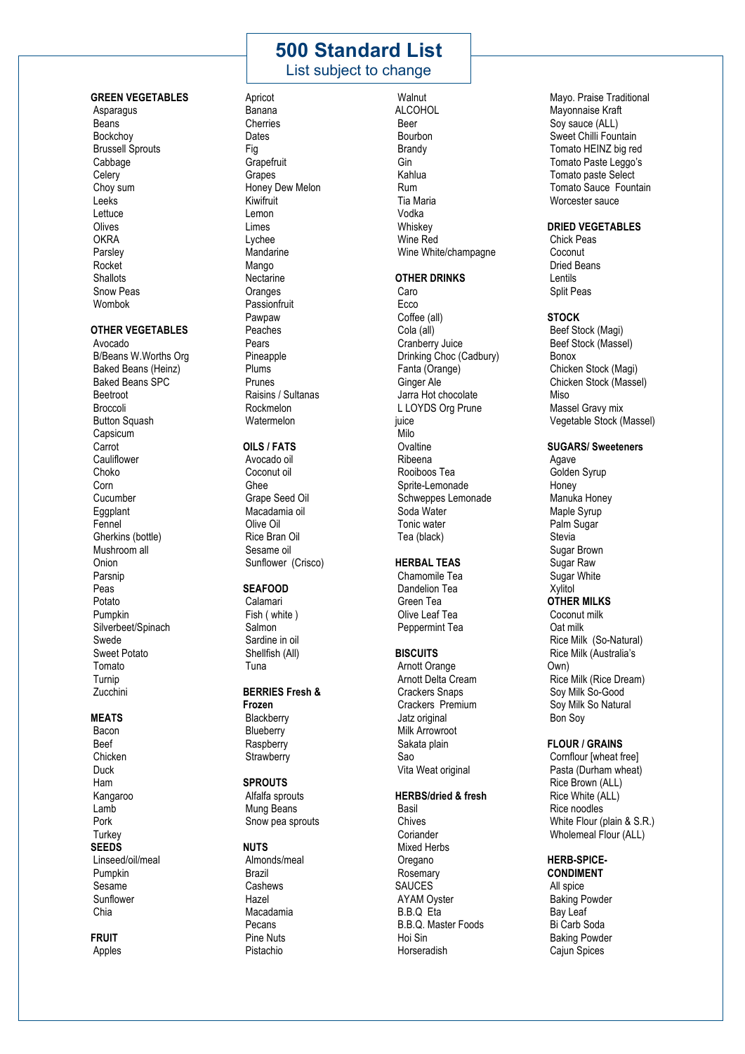# **500 Standard List**

# List subject to change

### **GREEN VEGETABLES**

Asparagus Beans Bockchoy Brussell Sprouts Cabbage **Celerv** Choy sum Leeks Lettuce Olives **OKRA** Parsley Rocket **Shallots** Snow Peas Wombok

### **OTHER VEGETABLES**

Avocado B/Beans W.Worths Org Baked Beans (Heinz) Baked Beans SPC Beetroot **Broccoli Button Squash** Capsicum Carrot **Cauliflower** Choko Corn Cucumber Eggplant Fennel Gherkins (bottle) Mushroom all Onion Parsnip Peas Potato Pumpkin Silverbeet/Spinach Swede Sweet Potato Tomato Turnip Zucchini

### **MEATS**

Bacon Beef **Chicken** Duck Ham Kangaroo Lamb Pork **Turkey SEEDS** Linseed/oil/meal Pumpkin Sesame Sunflower Chia

**FRUIT** Apples Banana **Cherries** Dates Fig **Grapefruit** Grapes Honey Dew Melon Kiwifruit Lemon Limes Lychee Mandarine Mango **Nectarine Oranges** Passionfruit Pawpaw Peaches Pears Pineapple Plums Prunes Raisins / Sultanas Rockmelon **Watermelon** 

Apricot

### **OILS / FATS**

Avocado oil Coconut oil Ghee Grape Seed Oil Macadamia oil Olive Oil Rice Bran Oil Sesame oil Sunflower (Crisco)

### **SEAFOOD**

Calamari Fish ( white ) Salmon Sardine in oil Shellfish (All) Tuna

### **BERRIES Fresh &**

**Frozen Blackberry Blueberry Raspberry Strawberry** 

### **SPROUTS**

Alfalfa sprouts Mung Beans Snow pea sprouts

### **NUTS**

Almonds/meal Brazil **Cashews** Hazel Macadamia Pecans Pine Nuts Pistachio

**Walnut** ALCOHOL Beer Bourbon Brandy Gin Kahlua Rum Tia Maria Vodka Whiskey Wine Red Wine White/champagne

#### **OTHER DRINKS**

Caro **Ecco** Coffee (all) Cola (all) Cranberry Juice Drinking Choc (Cadbury) Fanta (Orange) Ginger Ale Jarra Hot chocolate L LOYDS Org Prune juice Milo **Ovaltine** Ribeena Rooiboos Tea Sprite-Lemonade Schweppes Lemonade Soda Water Tonic water Tea (black)

#### **HERBAL TEAS**

Chamomile Tea Dandelion Tea Green Tea Olive Leaf Tea Peppermint Tea

### **BISCUITS**

Arnott Orange Arnott Delta Cream Crackers Snaps Crackers Premium Jatz original Milk Arrowroot Sakata plain Sao Vita Weat original

### **HERBS/dried & fresh**

Basil Chives Coriander Mixed Herbs Oregano Rosemary SAUCES AYAM Oyster B.B.Q Eta B.B.Q. Master Foods Hoi Sin Horseradish

Mayo. Praise Traditional Mayonnaise Kraft Soy sauce (ALL) Sweet Chilli Fountain Tomato HEINZ big red Tomato Paste Leggo's Tomato paste Select Tomato Sauce Fountain Worcester sauce

### **DRIED VEGETABLES**

Chick Peas Coconut Dried Beans Lentils Split Peas

#### **STOCK**

Beef Stock (Magi) Beef Stock (Massel) Bonox Chicken Stock (Magi) Chicken Stock (Massel) **Miso** Massel Gravy mix Vegetable Stock (Massel)

### **SUGARS/ Sweeteners**

Agave Golden Syrup Honey Manuka Honey Maple Syrup Palm Sugar **Stevia** Sugar Brown Sugar Raw Sugar White Xylitol **OTHER MILKS** Coconut milk Oat milk Rice Milk (So-Natural) Rice Milk (Australia's Own) Rice Milk (Rice Dream) Soy Milk So-Good Soy Milk So Natural Bon Soy

### **FLOUR / GRAINS**

Cornflour [wheat free] Pasta (Durham wheat) Rice Brown (ALL) Rice White (ALL) Rice noodles White Flour (plain & S.R.) Wholemeal Flour (ALL)

**HERB-SPICE-**

**CONDIMENT** All spice Baking Powder Bay Leaf Bi Carb Soda Baking Powder Cajun Spices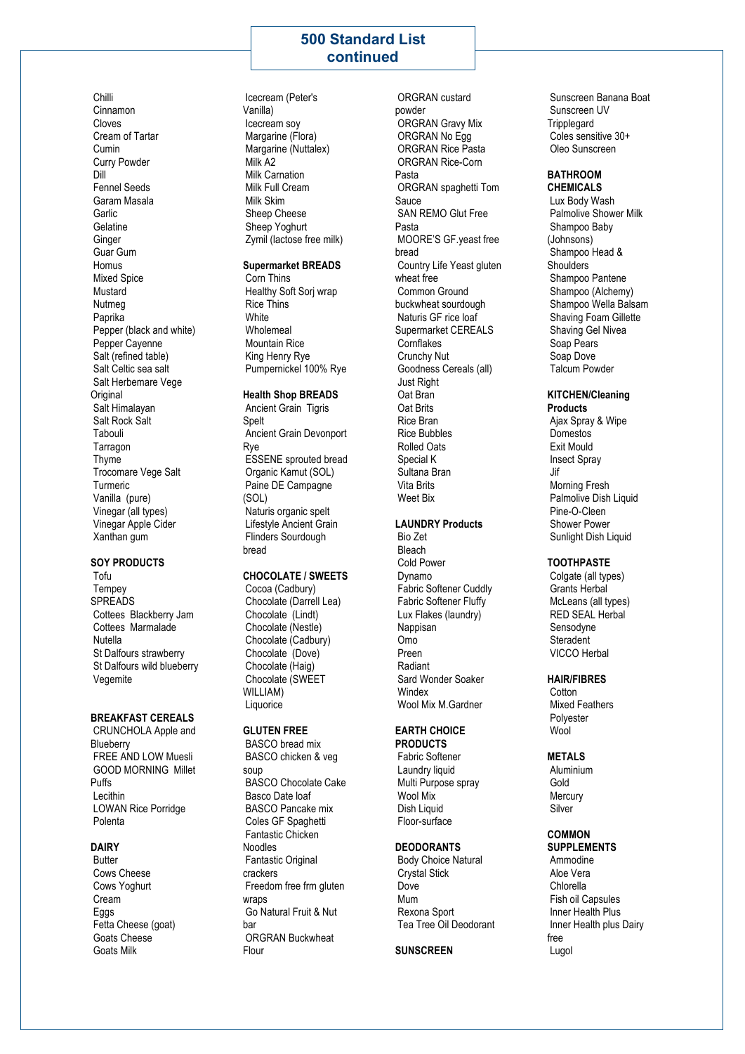# **500 Standard List continued**

Chilli Cinnamon Cloves Cream of Tartar Cumin Curry Powder Dill Fennel Seeds Garam Masala Garlic Gelatine Ginger Guar Gum **Homus** Mixed Spice Mustard Nutmeg Paprika Pepper (black and white) Pepper Cayenne Salt (refined table) Salt Celtic sea salt Salt Herbemare Vege Original Salt Himalayan Salt Rock Salt Tabouli Tarragon Thyme Trocomare Vege Salt Turmeric Vanilla (pure) Vinegar (all types) Vinegar Apple Cider Xanthan gum

#### **SOY PRODUCTS**

Tofu **Tempey SPREADS** Cottees Blackberry Jam Cottees Marmalade Nutella St Dalfours strawberry St Dalfours wild blueberry Vegemite

#### **BREAKFAST CEREALS**

CRUNCHOLA Apple and **Blueberry** FREE AND LOW Muesli GOOD MORNING Millet Puffs Lecithin LOWAN Rice Porridge Polenta

### **DAIRY**

**Butter** Cows Cheese Cows Yoghurt Cream Eggs Fetta Cheese (goat) Goats Cheese Goats Milk

Icecream (Peter's Vanilla) Icecream soy Margarine (Flora) Margarine (Nuttalex) Milk A2 Milk Carnation Milk Full Cream Milk Skim Sheep Cheese Sheep Yoghurt Zymil (lactose free milk)

### **Supermarket BREADS**

Corn Thins Healthy Soft Sorj wrap Rice Thins White Wholemeal Mountain Rice King Henry Rye Pumpernickel 100% Rye

#### **Health Shop BREADS**

Ancient Grain Tigris **Spelt** Ancient Grain Devonport Rye ESSENE sprouted bread Organic Kamut (SOL) Paine DE Campagne (SOL) Naturis organic spelt Lifestyle Ancient Grain Flinders Sourdough bread

### **CHOCOLATE / SWEETS**

Cocoa (Cadbury) Chocolate (Darrell Lea) Chocolate (Lindt) Chocolate (Nestle) Chocolate (Cadbury) Chocolate (Dove) Chocolate (Haig) Chocolate (SWEET WILLIAM) **Liquorice** 

#### **GLUTEN FREE**

BASCO bread mix BASCO chicken & veg soup BASCO Chocolate Cake Basco Date loaf BASCO Pancake mix Coles GF Spaghetti Fantastic Chicken Noodles Fantastic Original crackers Freedom free frm gluten wraps Go Natural Fruit & Nut bar ORGRAN Buckwheat Flour

ORGRAN custard powder ORGRAN Gravy Mix ORGRAN No Egg ORGRAN Rice Pasta ORGRAN Rice-Corn Pasta ORGRAN spaghetti Tom Sauce SAN REMO Glut Free Pasta MOORE'S GF.yeast free bread Country Life Yeast gluten wheat free Common Ground buckwheat sourdough Naturis GF rice loaf Supermarket CEREALS **Cornflakes** Crunchy Nut Goodness Cereals (all) Just Right Oat Bran Oat Brits Rice Bran Rice Bubbles Rolled Oats Special K Sultana Bran Vita Brits Weet Bix

#### **LAUNDRY Products** Bio Zet

Bleach Cold Power Dynamo Fabric Softener Cuddly Fabric Softener Fluffy Lux Flakes (laundry) **Nappisan** Omo Preen Radiant Sard Wonder Soaker **Windex** Wool Mix M.Gardner

## **EARTH CHOICE**

**PRODUCTS** Fabric Softener Laundry liquid Multi Purpose spray Wool Mix Dish Liquid Floor-surface

#### **DEODORANTS**

Body Choice Natural Crystal Stick Dove Mum Rexona Sport Tea Tree Oil Deodorant

#### **SUNSCREEN**

Sunscreen Banana Boat Sunscreen UV **Tripplegard** Coles sensitive 30+ Oleo Sunscreen

#### **BATHROOM CHEMICALS**

Lux Body Wash Palmolive Shower Milk Shampoo Baby (Johnsons) Shampoo Head & **Shoulders** Shampoo Pantene Shampoo (Alchemy) Shampoo Wella Balsam Shaving Foam Gillette Shaving Gel Nivea Soap Pears Soap Dove Talcum Powder

#### **KITCHEN/Cleaning Products**

Ajax Spray & Wipe Domestos Exit Mould Insect Spray Jif Morning Fresh Palmolive Dish Liquid Pine-O-Cleen Shower Power Sunlight Dish Liquid

#### **TOOTHPASTE**

Colgate (all types) Grants Herbal McLeans (all types) RED SEAL Herbal Sensodyne **Steradent** VICCO Herbal

### **HAIR/FIBRES**

**Cotton** Mixed Feathers Polyester Wool

### **METALS**

Aluminium Gold **Mercury** Silver

#### **COMMON SUPPLEMENTS**

Ammodine Aloe Vera Chlorella Fish oil Capsules Inner Health Plus Inner Health plus Dairy free Lugol